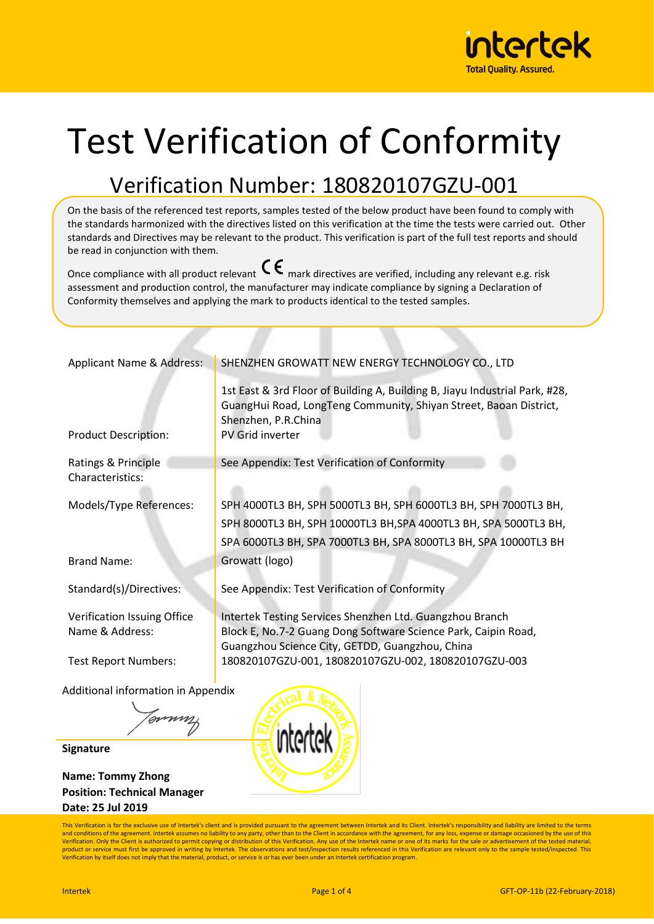

# Test Verification of Conformity

## Verification Number: 180820107GZU-001

On the basis of the referenced test reports, samples tested of the below product have been found to comply with the standards harmonized with the directives listed on this verification at the time the tests were carried out. Other standards and Directives may be relevant to the product. This verification is part of the full test reports and should be read in conjunction with them.

Once compliance with all product relevant  $\mathsf{C}\boldsymbol{\epsilon}$  mark directives are verified, including any relevant e.g. risk assessment and production control, the manufacturer may indicate compliance by signing a Declaration of Conformity themselves and applying the mark to products identical to the tested samples.

| Applicant Name & Address:   | SHENZHEN GROWATT NEW ENERGY TECHNOLOGY CO., LTD                                                                                                                         |
|-----------------------------|-------------------------------------------------------------------------------------------------------------------------------------------------------------------------|
|                             | 1st East & 3rd Floor of Building A, Building B, Jiayu Industrial Park, #28,<br>GuangHui Road, LongTeng Community, Shiyan Street, Baoan District,<br>Shenzhen, P.R.China |
| <b>Product Description:</b> | <b>PV Grid inverter</b>                                                                                                                                                 |
| Ratings & Principle         | See Appendix: Test Verification of Conformity                                                                                                                           |
| Characteristics:            |                                                                                                                                                                         |
| Models/Type References:     | SPH 4000TL3 BH, SPH 5000TL3 BH, SPH 6000TL3 BH, SPH 7000TL3 BH,                                                                                                         |
|                             | SPH 8000TL3 BH, SPH 10000TL3 BH, SPA 4000TL3 BH, SPA 5000TL3 BH,                                                                                                        |
|                             | SPA 6000TL3 BH, SPA 7000TL3 BH, SPA 8000TL3 BH, SPA 10000TL3 BH                                                                                                         |
| <b>Brand Name:</b>          | Growatt (logo)                                                                                                                                                          |
| Standard(s)/Directives:     | See Appendix: Test Verification of Conformity                                                                                                                           |
| Verification Issuing Office | Intertek Testing Services Shenzhen Ltd. Guangzhou Branch                                                                                                                |
| Name & Address:             | Block E, No.7-2 Guang Dong Software Science Park, Caipin Road,<br>Guangzhou Science City, GETDD, Guangzhou, China                                                       |
| <b>Test Report Numbers:</b> | 180820107GZU-001, 180820107GZU-002, 180820107GZU-003                                                                                                                    |

Additional information in Appendix

Jonnn

**Signature**

**Name: Tommy Zhong Position: Technical Manager Date: 25 Jul 2019**



This Verification is for the exclusive use of Intertek's client and is provided pursuant to the agreement between Intertek and its Client. Intertek's responsibility and liability are limited to the terms and conditions of the agreement. Intertek assumes no liability to any party, other than to the Client in accordance with the agreement, for any loss, expense or damage occasioned by the use of this<br>Verification. Only the C product or service must first be approved in writing by Intertek. The observations and test/inspection results referenced in this Verification are relevant only to the sample tested/inspected. This Verification by itself does not imply that the material, product, or service is or has ever been under an Intertek certification program.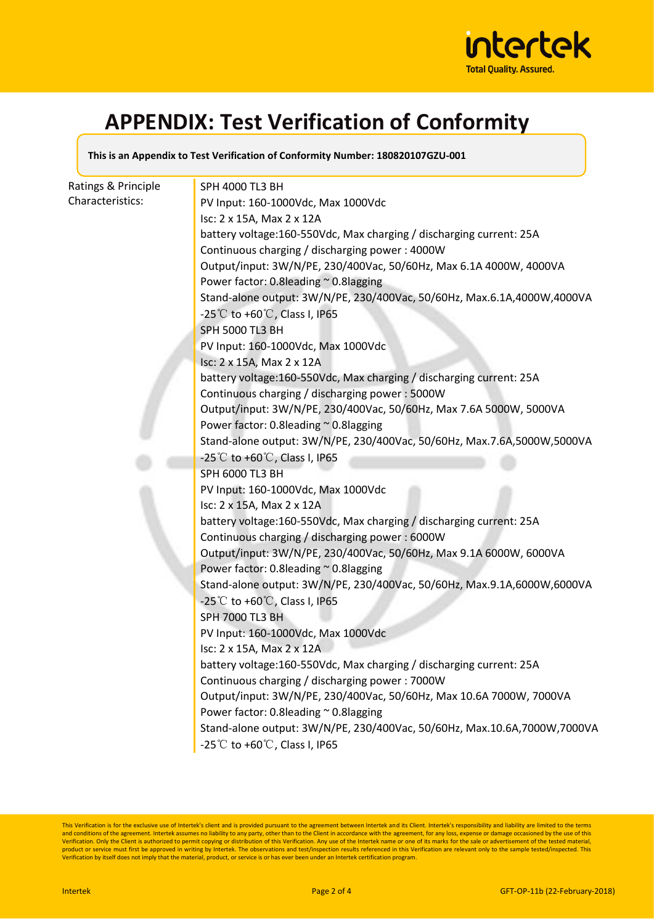

### **APPENDIX: Test Verification of Conformity**

**This is an Appendix to Test Verification of Conformity Number: 180820107GZU-001**

| Ratings & Principle | SPH 4000 TL3 BH                                                          |
|---------------------|--------------------------------------------------------------------------|
| Characteristics:    | PV Input: 160-1000Vdc, Max 1000Vdc                                       |
|                     | Isc: 2 x 15A, Max 2 x 12A                                                |
|                     | battery voltage:160-550Vdc, Max charging / discharging current: 25A      |
|                     | Continuous charging / discharging power: 4000W                           |
|                     | Output/input: 3W/N/PE, 230/400Vac, 50/60Hz, Max 6.1A 4000W, 4000VA       |
|                     | Power factor: 0.8leading ~ 0.8lagging                                    |
|                     | Stand-alone output: 3W/N/PE, 230/400Vac, 50/60Hz, Max.6.1A,4000W,4000VA  |
|                     | -25°C to +60°C, Class I, IP65                                            |
|                     | <b>SPH 5000 TL3 BH</b>                                                   |
|                     | PV Input: 160-1000Vdc, Max 1000Vdc                                       |
|                     | Isc: 2 x 15A, Max 2 x 12A                                                |
|                     | battery voltage:160-550Vdc, Max charging / discharging current: 25A      |
|                     | Continuous charging / discharging power: 5000W                           |
|                     | Output/input: 3W/N/PE, 230/400Vac, 50/60Hz, Max 7.6A 5000W, 5000VA       |
|                     | Power factor: 0.8leading ~ 0.8lagging                                    |
|                     | Stand-alone output: 3W/N/PE, 230/400Vac, 50/60Hz, Max.7.6A,5000W,5000VA  |
|                     | -25°C to +60°C, Class I, IP65                                            |
|                     | SPH 6000 TL3 BH                                                          |
|                     | PV Input: 160-1000Vdc, Max 1000Vdc                                       |
|                     | Isc: 2 x 15A, Max 2 x 12A                                                |
|                     | battery voltage:160-550Vdc, Max charging / discharging current: 25A      |
|                     | Continuous charging / discharging power: 6000W                           |
|                     | Output/input: 3W/N/PE, 230/400Vac, 50/60Hz, Max 9.1A 6000W, 6000VA       |
|                     | Power factor: 0.8leading ~ 0.8lagging                                    |
|                     | Stand-alone output: 3W/N/PE, 230/400Vac, 50/60Hz, Max.9.1A,6000W,6000VA  |
|                     | -25°C to +60°C, Class I, IP65                                            |
|                     | <b>SPH 7000 TL3 BH</b>                                                   |
|                     | PV Input: 160-1000Vdc, Max 1000Vdc                                       |
|                     | Isc: 2 x 15A, Max 2 x 12A                                                |
|                     | battery voltage:160-550Vdc, Max charging / discharging current: 25A      |
|                     | Continuous charging / discharging power: 7000W                           |
|                     | Output/input: 3W/N/PE, 230/400Vac, 50/60Hz, Max 10.6A 7000W, 7000VA      |
|                     | Power factor: 0.8leading ~ 0.8lagging                                    |
|                     | Stand-alone output: 3W/N/PE, 230/400Vac, 50/60Hz, Max.10.6A,7000W,7000VA |
|                     | -25°C to +60°C, Class I, IP65                                            |

This Verification is for the exclusive use of Intertek's client and is provided pursuant to the agreement between Intertek and its Client. Intertek's responsibility and liability are limited to the terms<br>and conditions of product or service must first be approved in writing by Intertek. The observations and test/inspection results referenced in this Verification are relevant only to the sample tested/inspected. This<br>Verification by itself d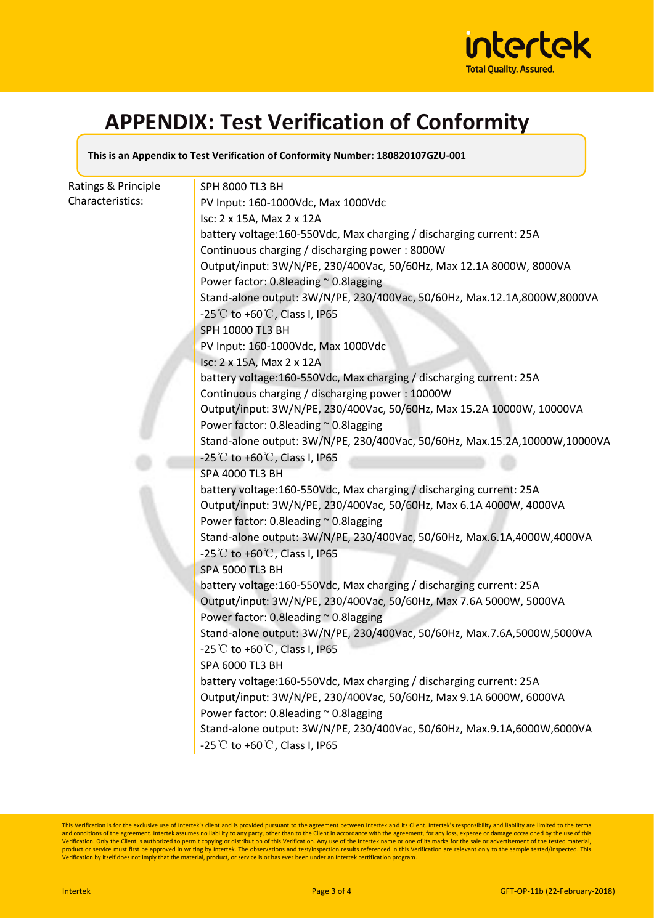

### **APPENDIX: Test Verification of Conformity**

**This is an Appendix to Test Verification of Conformity Number: 180820107GZU-001**

| Ratings & Principle | SPH 8000 TL3 BH                                                            |
|---------------------|----------------------------------------------------------------------------|
| Characteristics:    | PV Input: 160-1000Vdc, Max 1000Vdc                                         |
|                     | Isc: 2 x 15A, Max 2 x 12A                                                  |
|                     | battery voltage:160-550Vdc, Max charging / discharging current: 25A        |
|                     | Continuous charging / discharging power: 8000W                             |
|                     | Output/input: 3W/N/PE, 230/400Vac, 50/60Hz, Max 12.1A 8000W, 8000VA        |
|                     | Power factor: 0.8leading ~ 0.8lagging                                      |
|                     | Stand-alone output: 3W/N/PE, 230/400Vac, 50/60Hz, Max.12.1A,8000W,8000VA   |
|                     | -25°C to +60°C, Class I, IP65                                              |
|                     | SPH 10000 TL3 BH                                                           |
|                     | PV Input: 160-1000Vdc, Max 1000Vdc                                         |
|                     | Isc: 2 x 15A, Max 2 x 12A                                                  |
|                     | battery voltage:160-550Vdc, Max charging / discharging current: 25A        |
|                     | Continuous charging / discharging power: 10000W                            |
|                     | Output/input: 3W/N/PE, 230/400Vac, 50/60Hz, Max 15.2A 10000W, 10000VA      |
|                     | Power factor: 0.8leading ~ 0.8lagging                                      |
|                     | Stand-alone output: 3W/N/PE, 230/400Vac, 50/60Hz, Max.15.2A,10000W,10000VA |
|                     | -25°C to +60°C, Class I, IP65                                              |
|                     | SPA 4000 TL3 BH                                                            |
|                     | battery voltage:160-550Vdc, Max charging / discharging current: 25A        |
|                     | Output/input: 3W/N/PE, 230/400Vac, 50/60Hz, Max 6.1A 4000W, 4000VA         |
|                     | Power factor: 0.8leading ~ 0.8lagging                                      |
|                     | Stand-alone output: 3W/N/PE, 230/400Vac, 50/60Hz, Max.6.1A,4000W,4000VA    |
|                     | $-25^{\circ}$ C to $+60^{\circ}$ C, Class I, IP65                          |
|                     | <b>SPA 5000 TL3 BH</b>                                                     |
|                     | battery voltage:160-550Vdc, Max charging / discharging current: 25A        |
|                     | Output/input: 3W/N/PE, 230/400Vac, 50/60Hz, Max 7.6A 5000W, 5000VA         |
|                     | Power factor: 0.8leading ~ 0.8lagging                                      |
|                     | Stand-alone output: 3W/N/PE, 230/400Vac, 50/60Hz, Max.7.6A,5000W,5000VA    |
|                     | -25°C to +60°C, Class I, IP65<br>SPA 6000 TL3 BH                           |
|                     | battery voltage:160-550Vdc, Max charging / discharging current: 25A        |
|                     | Output/input: 3W/N/PE, 230/400Vac, 50/60Hz, Max 9.1A 6000W, 6000VA         |
|                     | Power factor: 0.8leading ~ 0.8lagging                                      |
|                     | Stand-alone output: 3W/N/PE, 230/400Vac, 50/60Hz, Max.9.1A,6000W,6000VA    |
|                     | -25°C to +60°C, Class I, IP65                                              |
|                     |                                                                            |

This Verification is for the exclusive use of Intertek's client and is provided pursuant to the agreement between Intertek and its Client. Intertek's responsibility and liability are limited to the terms<br>and conditions of product or service must first be approved in writing by Intertek. The observations and test/inspection results referenced in this Verification are relevant only to the sample tested/inspected. This<br>Verification by itself d